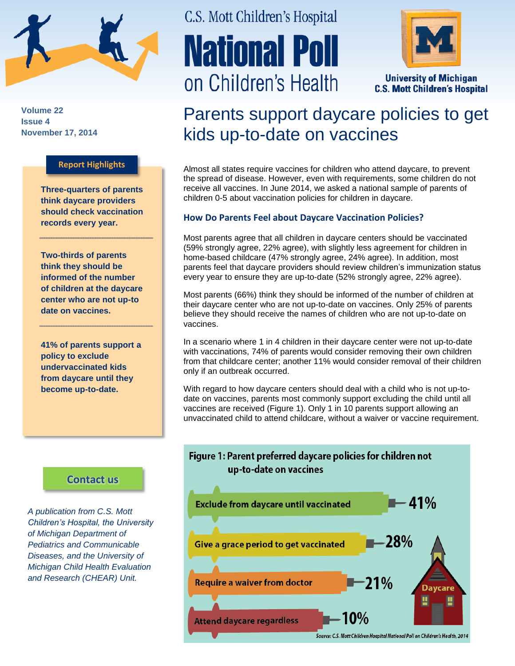

**Volume 22 Issue 4 November 17, 2014**

#### **Report Highlights**

**Three-quarters of parents think daycare providers should check vaccination records every year.**

**Two-thirds of parents think they should be informed of the number of children at the daycare center who are not up-to date on vaccines.**

**41% of parents support a policy to exclude undervaccinated kids from daycare until they become up-to-date.**

## **[Contact us](http://mottnpch.org/contact)**

*A publication from C.S. Mott Children's Hospital, the University of Michigan Department of Pediatrics and Communicable Diseases, and the University of Michigan Child Health Evaluation and Research (CHEAR) Unit.*

# C.S. Mott Children's Hospital **National Poll** on Children's Health



**University of Michigan C.S. Mott Children's Hospital** 

# Parents support daycare policies to get kids up-to-date on vaccines

Almost all states require vaccines for children who attend daycare, to prevent the spread of disease. However, even with requirements, some children do not receive all vaccines. In June 2014, we asked a national sample of parents of children 0-5 about vaccination policies for children in daycare.

#### **How Do Parents Feel about Daycare Vaccination Policies?**

Most parents agree that all children in daycare centers should be vaccinated (59% strongly agree, 22% agree), with slightly less agreement for children in home-based childcare (47% strongly agree, 24% agree). In addition, most parents feel that daycare providers should review children's immunization status every year to ensure they are up-to-date (52% strongly agree, 22% agree).

Most parents (66%) think they should be informed of the number of children at their daycare center who are not up-to-date on vaccines. Only 25% of parents believe they should receive the names of children who are not up-to-date on vaccines.

In a scenario where 1 in 4 children in their daycare center were not up-to-date with vaccinations, 74% of parents would consider removing their own children from that childcare center; another 11% would consider removal of their children only if an outbreak occurred.

With regard to how daycare centers should deal with a child who is not up-todate on vaccines, parents most commonly support excluding the child until all vaccines are received (Figure 1). Only 1 in 10 parents support allowing an unvaccinated child to attend childcare, without a waiver or vaccine requirement.

# Figure 1: Parent preferred daycare policies for children not up-to-date on vaccines